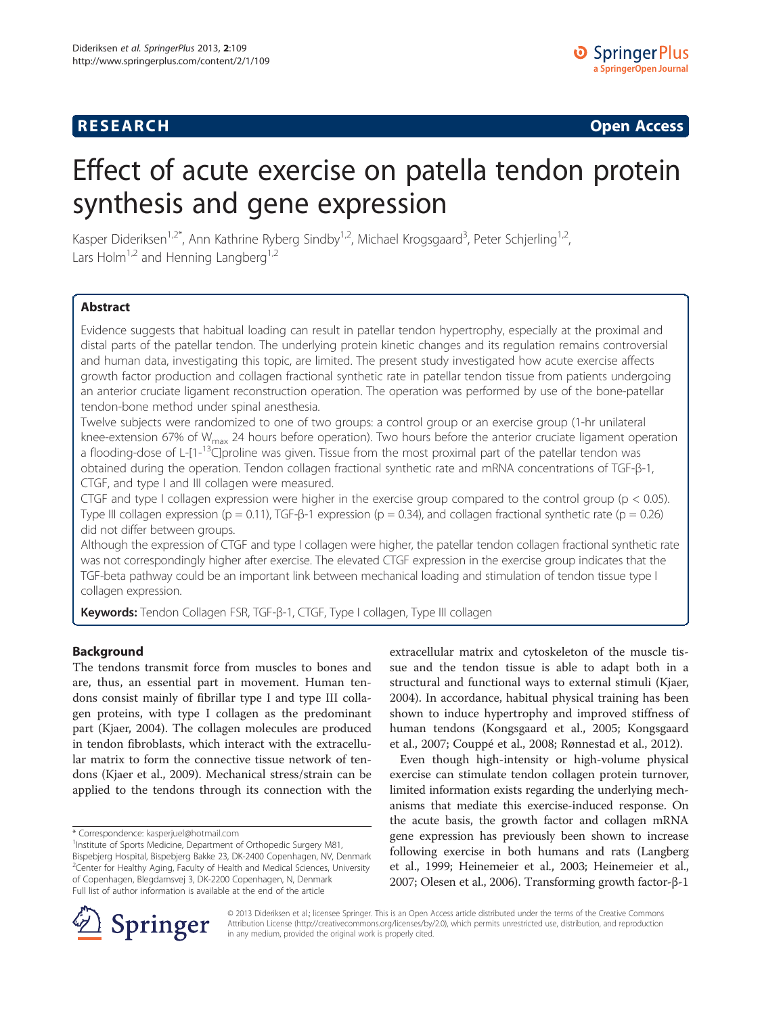## **RESEARCH CHINESE ARCH CHINESE ARCH CHINESE ARCH <b>CHINESE ARCH**

# Effect of acute exercise on patella tendon protein synthesis and gene expression

Kasper Dideriksen<sup>1,2\*</sup>, Ann Kathrine Ryberg Sindby<sup>1,2</sup>, Michael Krogsgaard<sup>3</sup>, Peter Schjerling<sup>1,2</sup>, Lars Holm<sup>1,2</sup> and Henning Langberg<sup>1,2</sup>

## Abstract

Evidence suggests that habitual loading can result in patellar tendon hypertrophy, especially at the proximal and distal parts of the patellar tendon. The underlying protein kinetic changes and its regulation remains controversial and human data, investigating this topic, are limited. The present study investigated how acute exercise affects growth factor production and collagen fractional synthetic rate in patellar tendon tissue from patients undergoing an anterior cruciate ligament reconstruction operation. The operation was performed by use of the bone-patellar tendon-bone method under spinal anesthesia.

Twelve subjects were randomized to one of two groups: a control group or an exercise group (1-hr unilateral knee-extension 67% of W<sub>max</sub> 24 hours before operation). Two hours before the anterior cruciate ligament operation a flooding-dose of L- $[1 - 13C]$ proline was given. Tissue from the most proximal part of the patellar tendon was obtained during the operation. Tendon collagen fractional synthetic rate and mRNA concentrations of TGF-β-1, CTGF, and type I and III collagen were measured.

CTGF and type I collagen expression were higher in the exercise group compared to the control group ( $p < 0.05$ ). Type III collagen expression (p = 0.11), TGF-β-1 expression (p = 0.34), and collagen fractional synthetic rate (p = 0.26) did not differ between groups.

Although the expression of CTGF and type I collagen were higher, the patellar tendon collagen fractional synthetic rate was not correspondingly higher after exercise. The elevated CTGF expression in the exercise group indicates that the TGF-beta pathway could be an important link between mechanical loading and stimulation of tendon tissue type I collagen expression.

Keywords: Tendon Collagen FSR, TGF-β-1, CTGF, Type I collagen, Type III collagen

## Background

The tendons transmit force from muscles to bones and are, thus, an essential part in movement. Human tendons consist mainly of fibrillar type I and type III collagen proteins, with type I collagen as the predominant part (Kjaer, [2004\)](#page-7-0). The collagen molecules are produced in tendon fibroblasts, which interact with the extracellular matrix to form the connective tissue network of tendons (Kjaer et al., [2009](#page-7-0)). Mechanical stress/strain can be applied to the tendons through its connection with the

\* Correspondence: [kasperjuel@hotmail.com](mailto:kasperjuel@hotmail.com) <sup>1</sup>

<sup>1</sup> Institute of Sports Medicine, Department of Orthopedic Surgery M81, Bispebjerg Hospital, Bispebjerg Bakke 23, DK-2400 Copenhagen, NV, Denmark <sup>2</sup> Center for Healthy Aging, Faculty of Health and Medical Sciences, University of Copenhagen, Blegdamsvej 3, DK-2200 Copenhagen, N, Denmark Full list of author information is available at the end of the article

extracellular matrix and cytoskeleton of the muscle tissue and the tendon tissue is able to adapt both in a structural and functional ways to external stimuli (Kjaer, [2004](#page-7-0)). In accordance, habitual physical training has been shown to induce hypertrophy and improved stiffness of human tendons (Kongsgaard et al., [2005;](#page-7-0) Kongsgaard et al., [2007](#page-7-0); Couppé et al., [2008](#page-7-0); Rønnestad et al., [2012\)](#page-7-0).

Even though high-intensity or high-volume physical exercise can stimulate tendon collagen protein turnover, limited information exists regarding the underlying mechanisms that mediate this exercise-induced response. On the acute basis, the growth factor and collagen mRNA gene expression has previously been shown to increase following exercise in both humans and rats (Langberg et al., [1999;](#page-7-0) Heinemeier et al., [2003](#page-7-0); Heinemeier et al., [2007;](#page-7-0) Olesen et al., [2006](#page-7-0)). Transforming growth factor-β-1



© 2013 Dideriksen et al.; licensee Springer. This is an Open Access article distributed under the terms of the Creative Commons Attribution License [\(http://creativecommons.org/licenses/by/2.0\)](http://creativecommons.org/licenses/by/2.0), which permits unrestricted use, distribution, and reproduction in any medium, provided the original work is properly cited.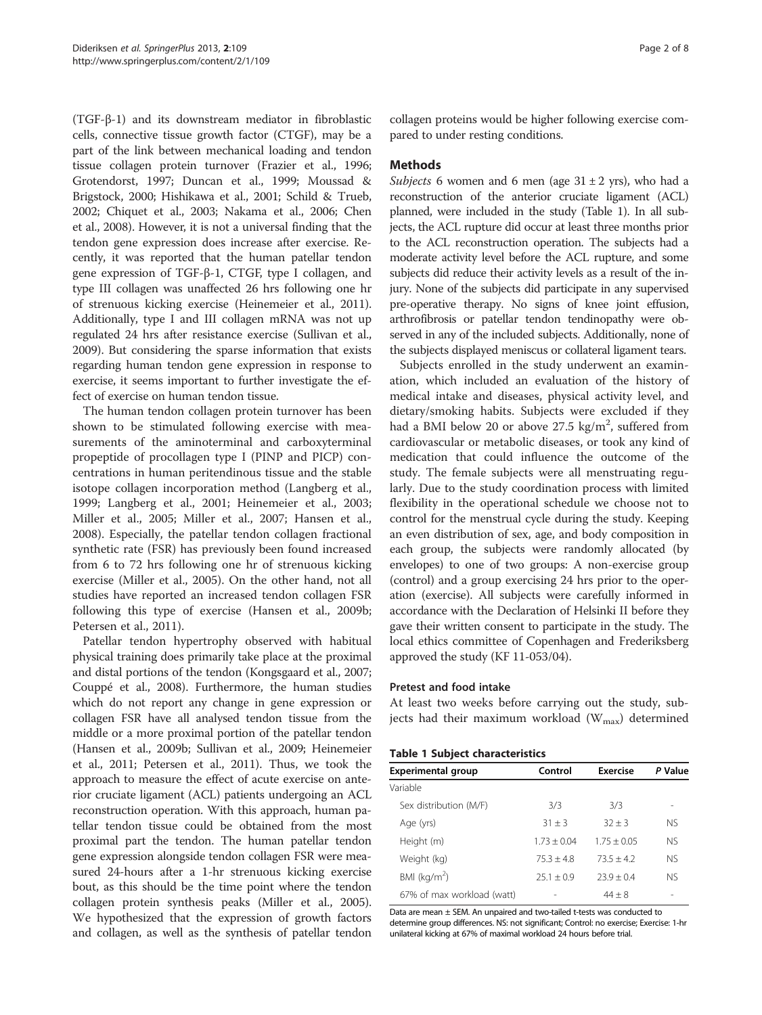<span id="page-1-0"></span>(TGF-β-1) and its downstream mediator in fibroblastic cells, connective tissue growth factor (CTGF), may be a part of the link between mechanical loading and tendon tissue collagen protein turnover (Frazier et al., [1996](#page-7-0); Grotendorst, [1997;](#page-7-0) Duncan et al., [1999;](#page-7-0) Moussad & Brigstock, [2000;](#page-7-0) Hishikawa et al., [2001;](#page-7-0) Schild & Trueb, [2002;](#page-7-0) Chiquet et al., [2003](#page-7-0); Nakama et al., [2006;](#page-7-0) Chen et al., [2008](#page-7-0)). However, it is not a universal finding that the tendon gene expression does increase after exercise. Recently, it was reported that the human patellar tendon gene expression of TGF-β-1, CTGF, type I collagen, and type III collagen was unaffected 26 hrs following one hr of strenuous kicking exercise (Heinemeier et al., [2011](#page-7-0)). Additionally, type I and III collagen mRNA was not up regulated 24 hrs after resistance exercise (Sullivan et al., [2009\)](#page-7-0). But considering the sparse information that exists regarding human tendon gene expression in response to exercise, it seems important to further investigate the effect of exercise on human tendon tissue.

The human tendon collagen protein turnover has been shown to be stimulated following exercise with measurements of the aminoterminal and carboxyterminal propeptide of procollagen type I (PINP and PICP) concentrations in human peritendinous tissue and the stable isotope collagen incorporation method (Langberg et al., [1999](#page-7-0); Langberg et al., [2001;](#page-7-0) Heinemeier et al., [2003](#page-7-0); Miller et al., [2005;](#page-7-0) Miller et al., [2007;](#page-7-0) Hansen et al., [2008](#page-7-0)). Especially, the patellar tendon collagen fractional synthetic rate (FSR) has previously been found increased from 6 to 72 hrs following one hr of strenuous kicking exercise (Miller et al., [2005](#page-7-0)). On the other hand, not all studies have reported an increased tendon collagen FSR following this type of exercise (Hansen et al., [2009b](#page-7-0); Petersen et al., [2011\)](#page-7-0).

Patellar tendon hypertrophy observed with habitual physical training does primarily take place at the proximal and distal portions of the tendon (Kongsgaard et al., [2007](#page-7-0); Couppé et al., [2008\)](#page-7-0). Furthermore, the human studies which do not report any change in gene expression or collagen FSR have all analysed tendon tissue from the middle or a more proximal portion of the patellar tendon (Hansen et al., [2009b;](#page-7-0) Sullivan et al., [2009](#page-7-0); Heinemeier et al., [2011;](#page-7-0) Petersen et al., [2011\)](#page-7-0). Thus, we took the approach to measure the effect of acute exercise on anterior cruciate ligament (ACL) patients undergoing an ACL reconstruction operation. With this approach, human patellar tendon tissue could be obtained from the most proximal part the tendon. The human patellar tendon gene expression alongside tendon collagen FSR were measured 24-hours after a 1-hr strenuous kicking exercise bout, as this should be the time point where the tendon collagen protein synthesis peaks (Miller et al., [2005](#page-7-0)). We hypothesized that the expression of growth factors and collagen, as well as the synthesis of patellar tendon collagen proteins would be higher following exercise compared to under resting conditions.

## Methods

Subjects 6 women and 6 men (age  $31 \pm 2$  yrs), who had a reconstruction of the anterior cruciate ligament (ACL) planned, were included in the study (Table 1). In all subjects, the ACL rupture did occur at least three months prior to the ACL reconstruction operation. The subjects had a moderate activity level before the ACL rupture, and some subjects did reduce their activity levels as a result of the injury. None of the subjects did participate in any supervised pre-operative therapy. No signs of knee joint effusion, arthrofibrosis or patellar tendon tendinopathy were observed in any of the included subjects. Additionally, none of the subjects displayed meniscus or collateral ligament tears.

Subjects enrolled in the study underwent an examination, which included an evaluation of the history of medical intake and diseases, physical activity level, and dietary/smoking habits. Subjects were excluded if they had a BMI below 20 or above 27.5 kg/m<sup>2</sup>, suffered from cardiovascular or metabolic diseases, or took any kind of medication that could influence the outcome of the study. The female subjects were all menstruating regularly. Due to the study coordination process with limited flexibility in the operational schedule we choose not to control for the menstrual cycle during the study. Keeping an even distribution of sex, age, and body composition in each group, the subjects were randomly allocated (by envelopes) to one of two groups: A non-exercise group (control) and a group exercising 24 hrs prior to the operation (exercise). All subjects were carefully informed in accordance with the Declaration of Helsinki II before they gave their written consent to participate in the study. The local ethics committee of Copenhagen and Frederiksberg approved the study (KF 11-053/04).

### Pretest and food intake

At least two weeks before carrying out the study, subjects had their maximum workload  $(W_{\text{max}})$  determined

## Table 1 Subject characteristics

| <b>Experimental group</b>  | Control       | <b>Exercise</b> | P Value   |
|----------------------------|---------------|-----------------|-----------|
| Variable                   |               |                 |           |
| Sex distribution (M/F)     | 3/3           | 3/3             |           |
| Age (yrs)                  | $31 + 3$      | $32 + 3$        | <b>NS</b> |
| Height (m)                 | $1.73 + 0.04$ | $1.75 + 0.05$   | <b>NS</b> |
| Weight (kg)                | $753 + 48$    | $735 + 42$      | <b>NS</b> |
| BMI ( $kg/m2$ )            | $25.1 + 0.9$  | $23.9 + 0.4$    | <b>NS</b> |
| 67% of max workload (watt) |               | $44 + 8$        |           |
|                            |               |                 |           |

Data are mean ± SEM. An unpaired and two-tailed t-tests was conducted to determine group differences. NS: not significant; Control: no exercise; Exercise: 1-hr unilateral kicking at 67% of maximal workload 24 hours before trial.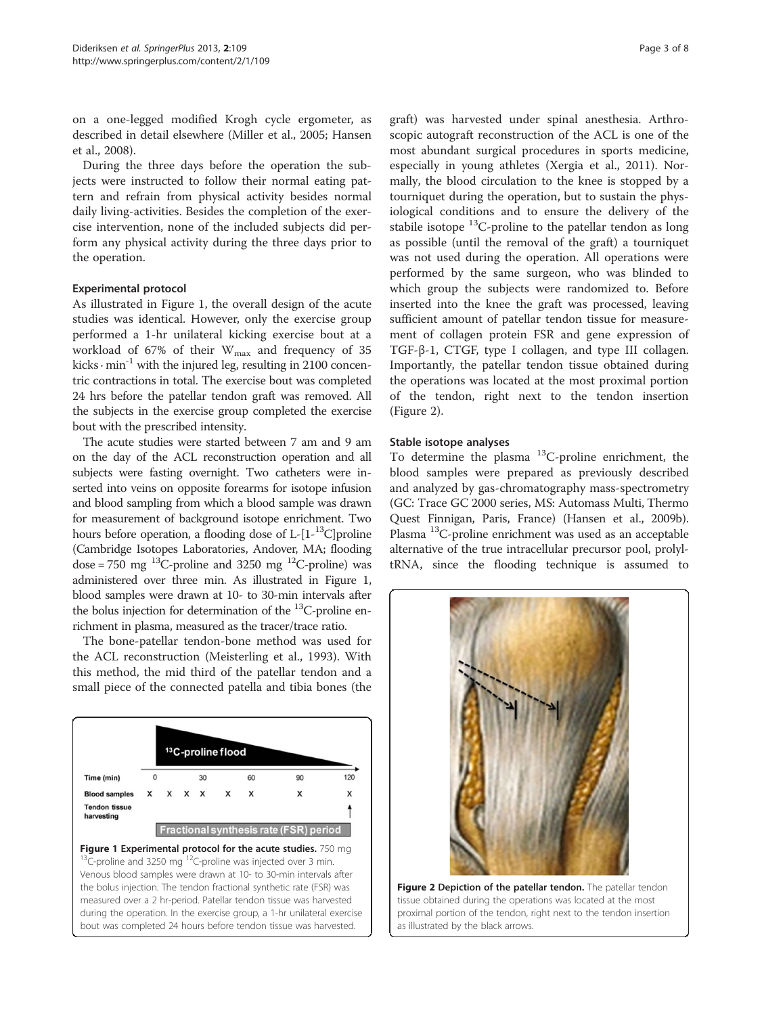on a one-legged modified Krogh cycle ergometer, as described in detail elsewhere (Miller et al., [2005](#page-7-0); Hansen et al., [2008](#page-7-0)).

During the three days before the operation the subjects were instructed to follow their normal eating pattern and refrain from physical activity besides normal daily living-activities. Besides the completion of the exercise intervention, none of the included subjects did perform any physical activity during the three days prior to the operation.

## Experimental protocol

As illustrated in Figure 1, the overall design of the acute studies was identical. However, only the exercise group performed a 1-hr unilateral kicking exercise bout at a workload of 67% of their Wmax and frequency of 35 kicks  $\cdot$  min<sup>-1</sup> with the injured leg, resulting in 2100 concentric contractions in total. The exercise bout was completed 24 hrs before the patellar tendon graft was removed. All the subjects in the exercise group completed the exercise bout with the prescribed intensity.

The acute studies were started between 7 am and 9 am on the day of the ACL reconstruction operation and all subjects were fasting overnight. Two catheters were inserted into veins on opposite forearms for isotope infusion and blood sampling from which a blood sample was drawn for measurement of background isotope enrichment. Two hours before operation, a flooding dose of  $L-[1^{-13}C]$  proline (Cambridge Isotopes Laboratories, Andover, MA; flooding dose = 750 mg <sup>13</sup>C-proline and 3250 mg <sup>12</sup>C-proline) was administered over three min. As illustrated in Figure 1, blood samples were drawn at 10- to 30-min intervals after the bolus injection for determination of the  $^{13}$ C-proline enrichment in plasma, measured as the tracer/trace ratio.

The bone-patellar tendon-bone method was used for the ACL reconstruction (Meisterling et al., [1993](#page-7-0)). With this method, the mid third of the patellar tendon and a small piece of the connected patella and tibia bones (the



graft) was harvested under spinal anesthesia. Arthroscopic autograft reconstruction of the ACL is one of the most abundant surgical procedures in sports medicine, especially in young athletes (Xergia et al., [2011\)](#page-7-0). Normally, the blood circulation to the knee is stopped by a tourniquet during the operation, but to sustain the physiological conditions and to ensure the delivery of the stabile isotope  $^{13}$ C-proline to the patellar tendon as long as possible (until the removal of the graft) a tourniquet was not used during the operation. All operations were performed by the same surgeon, who was blinded to which group the subjects were randomized to. Before inserted into the knee the graft was processed, leaving sufficient amount of patellar tendon tissue for measurement of collagen protein FSR and gene expression of TGF-β-1, CTGF, type I collagen, and type III collagen. Importantly, the patellar tendon tissue obtained during the operations was located at the most proximal portion of the tendon, right next to the tendon insertion (Figure 2).

## Stable isotope analyses

To determine the plasma  $^{13}$ C-proline enrichment, the blood samples were prepared as previously described and analyzed by gas-chromatography mass-spectrometry (GC: Trace GC 2000 series, MS: Automass Multi, Thermo Quest Finnigan, Paris, France) (Hansen et al., [2009b](#page-7-0)). Plasma 13C-proline enrichment was used as an acceptable alternative of the true intracellular precursor pool, prolyltRNA, since the flooding technique is assumed to



Figure 2 Depiction of the patellar tendon. The patellar tendon tissue obtained during the operations was located at the most proximal portion of the tendon, right next to the tendon insertion as illustrated by the black arrows.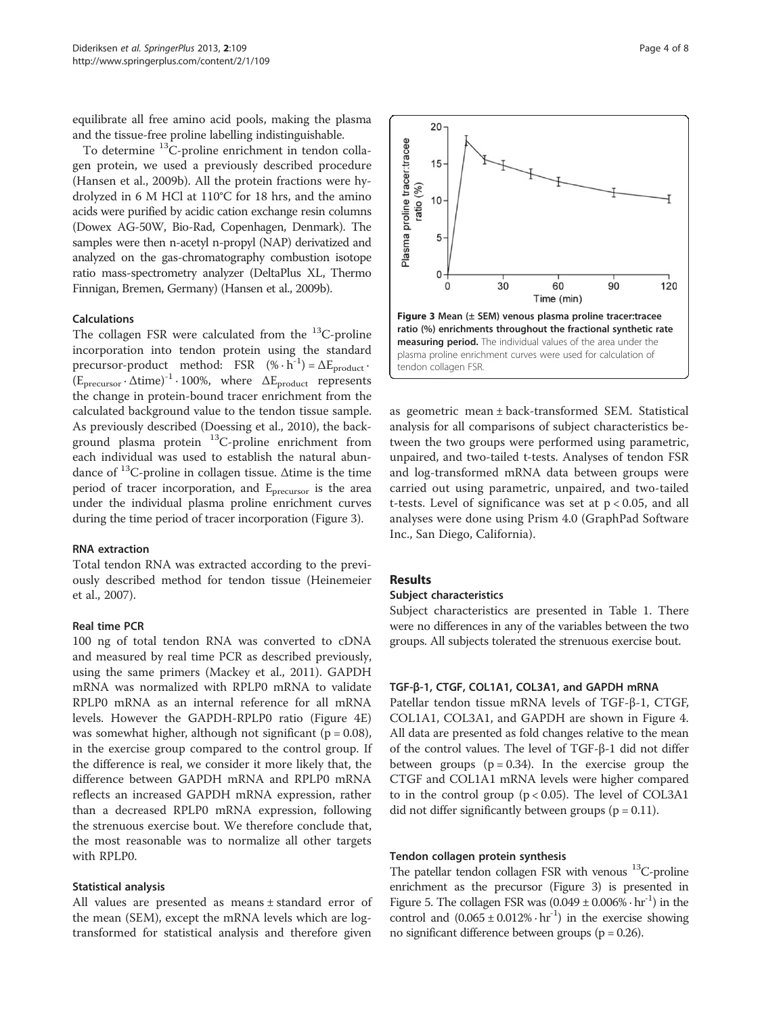equilibrate all free amino acid pools, making the plasma and the tissue-free proline labelling indistinguishable.

To determine <sup>13</sup>C-proline enrichment in tendon collagen protein, we used a previously described procedure (Hansen et al., [2009b\)](#page-7-0). All the protein fractions were hydrolyzed in 6 M HCl at 110°C for 18 hrs, and the amino acids were purified by acidic cation exchange resin columns (Dowex AG-50W, Bio-Rad, Copenhagen, Denmark). The samples were then n-acetyl n-propyl (NAP) derivatized and analyzed on the gas-chromatography combustion isotope ratio mass-spectrometry analyzer (DeltaPlus XL, Thermo Finnigan, Bremen, Germany) (Hansen et al., [2009b\)](#page-7-0).

#### Calculations

The collagen FSR were calculated from the  $^{13}$ C-proline incorporation into tendon protein using the standard precursor-product method: FSR  $(\% \cdot h^{-1}) = \Delta E_{product}$ .  $(E_{\text{precursor}} \cdot \Delta \text{time})^{-1} \cdot 100\%$ , where  $\Delta E_{\text{product}}$  represents the change in protein-bound tracer enrichment from the calculated background value to the tendon tissue sample. As previously described (Doessing et al., [2010](#page-7-0)), the background plasma protein  $^{13}$ C-proline enrichment from each individual was used to establish the natural abundance of  $^{13}$ C-proline in collagen tissue.  $\Delta$ time is the time period of tracer incorporation, and Eprecursor is the area under the individual plasma proline enrichment curves during the time period of tracer incorporation (Figure 3).

## RNA extraction

Total tendon RNA was extracted according to the previously described method for tendon tissue (Heinemeier et al., [2007](#page-7-0)).

## Real time PCR

100 ng of total tendon RNA was converted to cDNA and measured by real time PCR as described previously, using the same primers (Mackey et al., [2011\)](#page-7-0). GAPDH mRNA was normalized with RPLP0 mRNA to validate RPLP0 mRNA as an internal reference for all mRNA levels. However the GAPDH-RPLP0 ratio (Figure [4E](#page-4-0)) was somewhat higher, although not significant ( $p = 0.08$ ), in the exercise group compared to the control group. If the difference is real, we consider it more likely that, the difference between GAPDH mRNA and RPLP0 mRNA reflects an increased GAPDH mRNA expression, rather than a decreased RPLP0 mRNA expression, following the strenuous exercise bout. We therefore conclude that, the most reasonable was to normalize all other targets with RPLP0.

#### Statistical analysis

All values are presented as means ± standard error of the mean (SEM), except the mRNA levels which are logtransformed for statistical analysis and therefore given



as geometric mean ± back-transformed SEM. Statistical analysis for all comparisons of subject characteristics between the two groups were performed using parametric, unpaired, and two-tailed t-tests. Analyses of tendon FSR and log-transformed mRNA data between groups were carried out using parametric, unpaired, and two-tailed t-tests. Level of significance was set at  $p < 0.05$ , and all analyses were done using Prism 4.0 (GraphPad Software Inc., San Diego, California).

## **Results**

## Subject characteristics

Subject characteristics are presented in Table [1.](#page-1-0) There were no differences in any of the variables between the two groups. All subjects tolerated the strenuous exercise bout.

#### TGF-β-1, CTGF, COL1A1, COL3A1, and GAPDH mRNA

Patellar tendon tissue mRNA levels of TGF-β-1, CTGF, COL1A1, COL3A1, and GAPDH are shown in Figure [4](#page-4-0). All data are presented as fold changes relative to the mean of the control values. The level of TGF-β-1 did not differ between groups ( $p = 0.34$ ). In the exercise group the CTGF and COL1A1 mRNA levels were higher compared to in the control group  $(p < 0.05)$ . The level of COL3A1 did not differ significantly between groups ( $p = 0.11$ ).

## Tendon collagen protein synthesis

The patellar tendon collagen FSR with venous <sup>13</sup>C-proline enrichment as the precursor (Figure 3) is presented in Figure [5.](#page-4-0) The collagen FSR was  $(0.049 \pm 0.006\% \cdot hr^{-1})$  in the control and  $(0.065 \pm 0.012\% \cdot hr^{-1})$  in the exercise showing no significant difference between groups ( $p = 0.26$ ).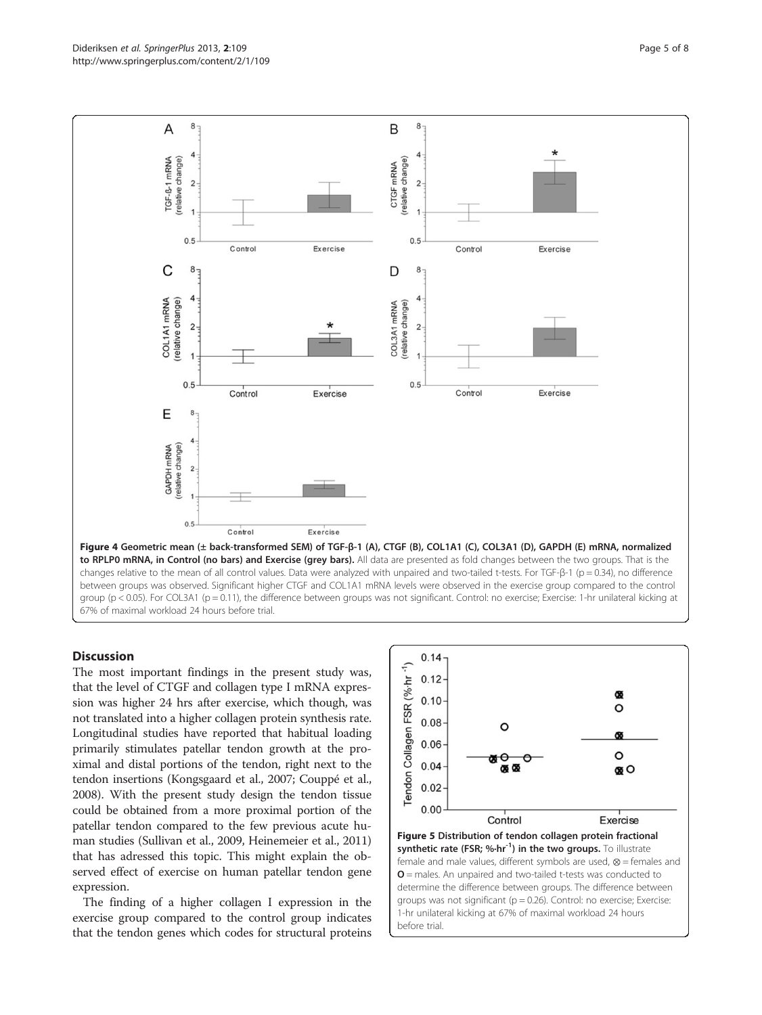<span id="page-4-0"></span>

changes relative to the mean of all control values. Data were analyzed with unpaired and two-tailed t-tests. For TGF-β-1 (p = 0.34), no difference between groups was observed. Significant higher CTGF and COL1A1 mRNA levels were observed in the exercise group compared to the control group (p < 0.05). For COL3A1 (p = 0.11), the difference between groups was not significant. Control: no exercise; Exercise: 1-hr unilateral kicking at 67% of maximal workload 24 hours before trial.

## **Discussion**

The most important findings in the present study was, that the level of CTGF and collagen type I mRNA expression was higher 24 hrs after exercise, which though, was not translated into a higher collagen protein synthesis rate. Longitudinal studies have reported that habitual loading primarily stimulates patellar tendon growth at the proximal and distal portions of the tendon, right next to the tendon insertions (Kongsgaard et al., [2007;](#page-7-0) Couppé et al., [2008\)](#page-7-0). With the present study design the tendon tissue could be obtained from a more proximal portion of the patellar tendon compared to the few previous acute human studies (Sullivan et al., [2009](#page-7-0), Heinemeier et al., [2011](#page-7-0)) that has adressed this topic. This might explain the observed effect of exercise on human patellar tendon gene expression.

The finding of a higher collagen I expression in the exercise group compared to the control group indicates that the tendon genes which codes for structural proteins

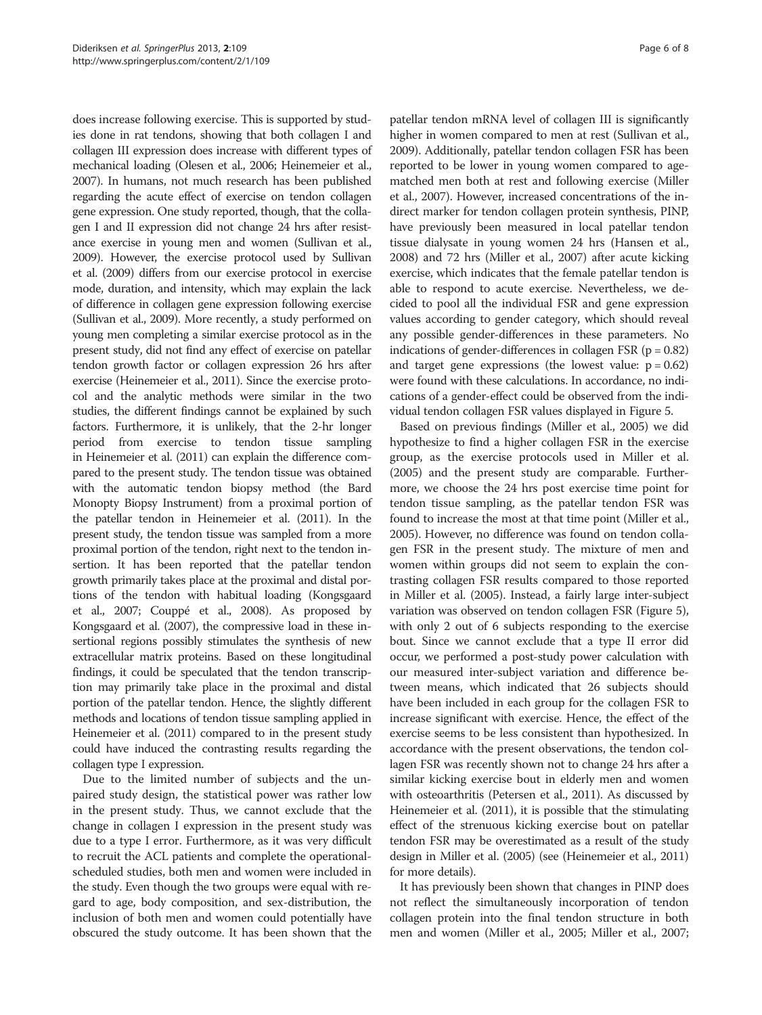does increase following exercise. This is supported by studies done in rat tendons, showing that both collagen I and collagen III expression does increase with different types of mechanical loading (Olesen et al., [2006](#page-7-0); Heinemeier et al., [2007\)](#page-7-0). In humans, not much research has been published regarding the acute effect of exercise on tendon collagen gene expression. One study reported, though, that the collagen I and II expression did not change 24 hrs after resistance exercise in young men and women (Sullivan et al., [2009\)](#page-7-0). However, the exercise protocol used by Sullivan et al. [\(2009\)](#page-7-0) differs from our exercise protocol in exercise mode, duration, and intensity, which may explain the lack of difference in collagen gene expression following exercise (Sullivan et al., [2009](#page-7-0)). More recently, a study performed on young men completing a similar exercise protocol as in the present study, did not find any effect of exercise on patellar tendon growth factor or collagen expression 26 hrs after exercise (Heinemeier et al., [2011\)](#page-7-0). Since the exercise protocol and the analytic methods were similar in the two studies, the different findings cannot be explained by such factors. Furthermore, it is unlikely, that the 2-hr longer period from exercise to tendon tissue sampling in Heinemeier et al. ([2011\)](#page-7-0) can explain the difference compared to the present study. The tendon tissue was obtained with the automatic tendon biopsy method (the Bard Monopty Biopsy Instrument) from a proximal portion of the patellar tendon in Heinemeier et al. [\(2011\)](#page-7-0). In the present study, the tendon tissue was sampled from a more proximal portion of the tendon, right next to the tendon insertion. It has been reported that the patellar tendon growth primarily takes place at the proximal and distal portions of the tendon with habitual loading (Kongsgaard et al., [2007](#page-7-0); Couppé et al., [2008](#page-7-0)). As proposed by Kongsgaard et al. [\(2007](#page-7-0)), the compressive load in these insertional regions possibly stimulates the synthesis of new extracellular matrix proteins. Based on these longitudinal findings, it could be speculated that the tendon transcription may primarily take place in the proximal and distal portion of the patellar tendon. Hence, the slightly different methods and locations of tendon tissue sampling applied in Heinemeier et al. [\(2011](#page-7-0)) compared to in the present study could have induced the contrasting results regarding the collagen type I expression.

Due to the limited number of subjects and the unpaired study design, the statistical power was rather low in the present study. Thus, we cannot exclude that the change in collagen I expression in the present study was due to a type I error. Furthermore, as it was very difficult to recruit the ACL patients and complete the operationalscheduled studies, both men and women were included in the study. Even though the two groups were equal with regard to age, body composition, and sex-distribution, the inclusion of both men and women could potentially have obscured the study outcome. It has been shown that the

patellar tendon mRNA level of collagen III is significantly higher in women compared to men at rest (Sullivan et al., [2009\)](#page-7-0). Additionally, patellar tendon collagen FSR has been reported to be lower in young women compared to agematched men both at rest and following exercise (Miller et al., [2007\)](#page-7-0). However, increased concentrations of the indirect marker for tendon collagen protein synthesis, PINP, have previously been measured in local patellar tendon tissue dialysate in young women 24 hrs (Hansen et al., [2008\)](#page-7-0) and 72 hrs (Miller et al., [2007\)](#page-7-0) after acute kicking exercise, which indicates that the female patellar tendon is able to respond to acute exercise. Nevertheless, we decided to pool all the individual FSR and gene expression values according to gender category, which should reveal any possible gender-differences in these parameters. No indications of gender-differences in collagen FSR ( $p = 0.82$ ) and target gene expressions (the lowest value:  $p = 0.62$ ) were found with these calculations. In accordance, no indications of a gender-effect could be observed from the individual tendon collagen FSR values displayed in Figure [5](#page-4-0).

Based on previous findings (Miller et al., [2005\)](#page-7-0) we did hypothesize to find a higher collagen FSR in the exercise group, as the exercise protocols used in Miller et al. ([2005](#page-7-0)) and the present study are comparable. Furthermore, we choose the 24 hrs post exercise time point for tendon tissue sampling, as the patellar tendon FSR was found to increase the most at that time point (Miller et al., [2005\)](#page-7-0). However, no difference was found on tendon collagen FSR in the present study. The mixture of men and women within groups did not seem to explain the contrasting collagen FSR results compared to those reported in Miller et al. ([2005](#page-7-0)). Instead, a fairly large inter-subject variation was observed on tendon collagen FSR (Figure [5](#page-4-0)), with only 2 out of 6 subjects responding to the exercise bout. Since we cannot exclude that a type II error did occur, we performed a post-study power calculation with our measured inter-subject variation and difference between means, which indicated that 26 subjects should have been included in each group for the collagen FSR to increase significant with exercise. Hence, the effect of the exercise seems to be less consistent than hypothesized. In accordance with the present observations, the tendon collagen FSR was recently shown not to change 24 hrs after a similar kicking exercise bout in elderly men and women with osteoarthritis (Petersen et al., [2011](#page-7-0)). As discussed by Heinemeier et al. ([2011\)](#page-7-0), it is possible that the stimulating effect of the strenuous kicking exercise bout on patellar tendon FSR may be overestimated as a result of the study design in Miller et al. [\(2005](#page-7-0)) (see (Heinemeier et al., [2011](#page-7-0)) for more details).

It has previously been shown that changes in PINP does not reflect the simultaneously incorporation of tendon collagen protein into the final tendon structure in both men and women (Miller et al., [2005](#page-7-0); Miller et al., [2007](#page-7-0);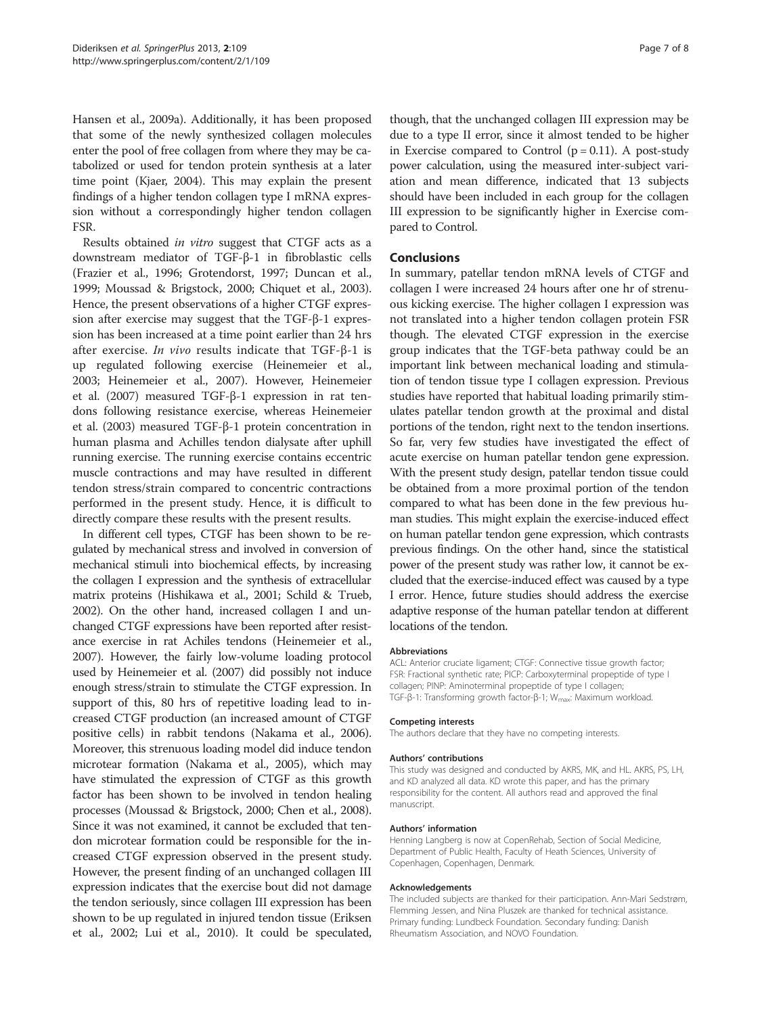Hansen et al., [2009a](#page-7-0)). Additionally, it has been proposed that some of the newly synthesized collagen molecules enter the pool of free collagen from where they may be catabolized or used for tendon protein synthesis at a later time point (Kjaer, [2004](#page-7-0)). This may explain the present findings of a higher tendon collagen type I mRNA expression without a correspondingly higher tendon collagen FSR.

Results obtained in vitro suggest that CTGF acts as a downstream mediator of TGF-β-1 in fibroblastic cells (Frazier et al., [1996](#page-7-0); Grotendorst, [1997](#page-7-0); Duncan et al., [1999;](#page-7-0) Moussad & Brigstock, [2000;](#page-7-0) Chiquet et al., [2003](#page-7-0)). Hence, the present observations of a higher CTGF expression after exercise may suggest that the TGF-β-1 expression has been increased at a time point earlier than 24 hrs after exercise. In vivo results indicate that TGF-β-1 is up regulated following exercise (Heinemeier et al., [2003;](#page-7-0) Heinemeier et al., [2007](#page-7-0)). However, Heinemeier et al. [\(2007](#page-7-0)) measured TGF-β-1 expression in rat tendons following resistance exercise, whereas Heinemeier et al. [\(2003\)](#page-7-0) measured TGF-β-1 protein concentration in human plasma and Achilles tendon dialysate after uphill running exercise. The running exercise contains eccentric muscle contractions and may have resulted in different tendon stress/strain compared to concentric contractions performed in the present study. Hence, it is difficult to directly compare these results with the present results.

In different cell types, CTGF has been shown to be regulated by mechanical stress and involved in conversion of mechanical stimuli into biochemical effects, by increasing the collagen I expression and the synthesis of extracellular matrix proteins (Hishikawa et al., [2001](#page-7-0); Schild & Trueb, [2002\)](#page-7-0). On the other hand, increased collagen I and unchanged CTGF expressions have been reported after resistance exercise in rat Achiles tendons (Heinemeier et al., [2007\)](#page-7-0). However, the fairly low-volume loading protocol used by Heinemeier et al. ([2007\)](#page-7-0) did possibly not induce enough stress/strain to stimulate the CTGF expression. In support of this, 80 hrs of repetitive loading lead to increased CTGF production (an increased amount of CTGF positive cells) in rabbit tendons (Nakama et al., [2006](#page-7-0)). Moreover, this strenuous loading model did induce tendon microtear formation (Nakama et al., [2005](#page-7-0)), which may have stimulated the expression of CTGF as this growth factor has been shown to be involved in tendon healing processes (Moussad & Brigstock, [2000;](#page-7-0) Chen et al., [2008](#page-7-0)). Since it was not examined, it cannot be excluded that tendon microtear formation could be responsible for the increased CTGF expression observed in the present study. However, the present finding of an unchanged collagen III expression indicates that the exercise bout did not damage the tendon seriously, since collagen III expression has been shown to be up regulated in injured tendon tissue (Eriksen et al., [2002;](#page-7-0) Lui et al., [2010\)](#page-7-0). It could be speculated,

though, that the unchanged collagen III expression may be due to a type II error, since it almost tended to be higher in Exercise compared to Control  $(p = 0.11)$ . A post-study power calculation, using the measured inter-subject variation and mean difference, indicated that 13 subjects should have been included in each group for the collagen III expression to be significantly higher in Exercise compared to Control.

## Conclusions

In summary, patellar tendon mRNA levels of CTGF and collagen I were increased 24 hours after one hr of strenuous kicking exercise. The higher collagen I expression was not translated into a higher tendon collagen protein FSR though. The elevated CTGF expression in the exercise group indicates that the TGF-beta pathway could be an important link between mechanical loading and stimulation of tendon tissue type I collagen expression. Previous studies have reported that habitual loading primarily stimulates patellar tendon growth at the proximal and distal portions of the tendon, right next to the tendon insertions. So far, very few studies have investigated the effect of acute exercise on human patellar tendon gene expression. With the present study design, patellar tendon tissue could be obtained from a more proximal portion of the tendon compared to what has been done in the few previous human studies. This might explain the exercise-induced effect on human patellar tendon gene expression, which contrasts previous findings. On the other hand, since the statistical power of the present study was rather low, it cannot be excluded that the exercise-induced effect was caused by a type I error. Hence, future studies should address the exercise adaptive response of the human patellar tendon at different locations of the tendon.

#### Abbreviations

ACL: Anterior cruciate ligament; CTGF: Connective tissue growth factor; FSR: Fractional synthetic rate; PICP: Carboxyterminal propeptide of type I collagen; PINP: Aminoterminal propeptide of type I collagen; TGF-β-1: Transforming growth factor-β-1; W<sub>max</sub>: Maximum workload.

#### Competing interests

The authors declare that they have no competing interests.

#### Authors' contributions

This study was designed and conducted by AKRS, MK, and HL. AKRS, PS, LH, and KD analyzed all data. KD wrote this paper, and has the primary responsibility for the content. All authors read and approved the final manuscript.

#### Authors' information

Henning Langberg is now at CopenRehab, Section of Social Medicine, Department of Public Health, Faculty of Heath Sciences, University of Copenhagen, Copenhagen, Denmark.

#### Acknowledgements

The included subjects are thanked for their participation. Ann-Mari Sedstrøm, Flemming Jessen, and Nina Pluszek are thanked for technical assistance. Primary funding: Lundbeck Foundation. Secondary funding: Danish Rheumatism Association, and NOVO Foundation.